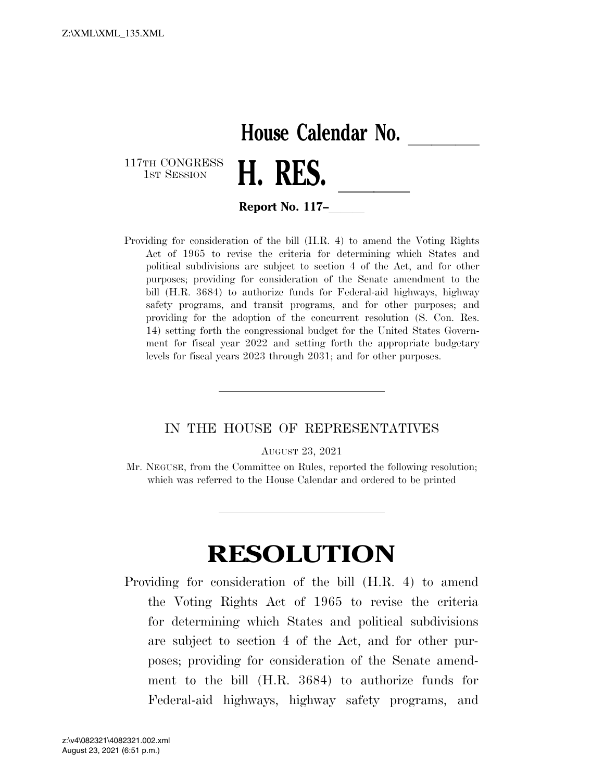## **House Calendar No.**

117TH CONGRESS<br>1st Session



**Report No. 117–** 

Providing for consideration of the bill (H.R. 4) to amend the Voting Rights Act of 1965 to revise the criteria for determining which States and political subdivisions are subject to section 4 of the Act, and for other purposes; providing for consideration of the Senate amendment to the bill (H.R. 3684) to authorize funds for Federal-aid highways, highway safety programs, and transit programs, and for other purposes; and providing for the adoption of the concurrent resolution (S. Con. Res. 14) setting forth the congressional budget for the United States Government for fiscal year 2022 and setting forth the appropriate budgetary levels for fiscal years 2023 through 2031; and for other purposes.

## IN THE HOUSE OF REPRESENTATIVES

AUGUST 23, 2021

Mr. NEGUSE, from the Committee on Rules, reported the following resolution; which was referred to the House Calendar and ordered to be printed

## **RESOLUTION**

Providing for consideration of the bill (H.R. 4) to amend the Voting Rights Act of 1965 to revise the criteria for determining which States and political subdivisions are subject to section 4 of the Act, and for other purposes; providing for consideration of the Senate amendment to the bill (H.R. 3684) to authorize funds for Federal-aid highways, highway safety programs, and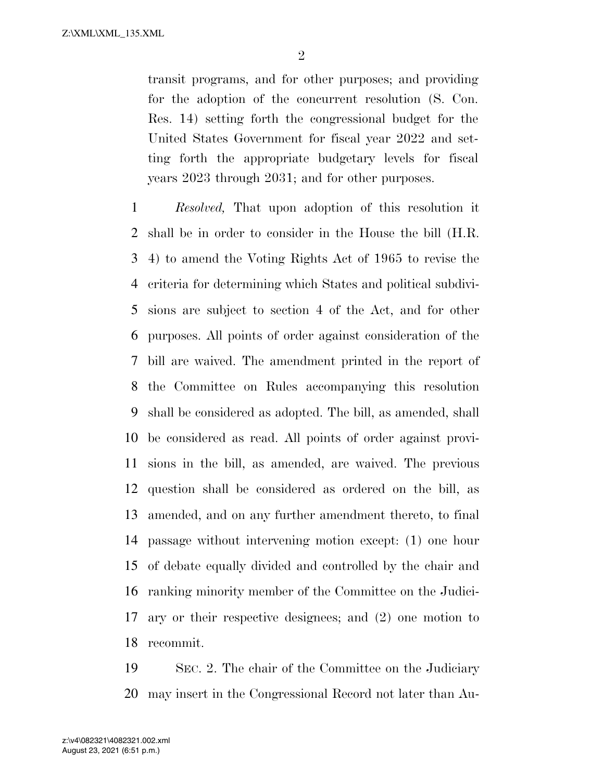transit programs, and for other purposes; and providing for the adoption of the concurrent resolution (S. Con. Res. 14) setting forth the congressional budget for the United States Government for fiscal year 2022 and setting forth the appropriate budgetary levels for fiscal years 2023 through 2031; and for other purposes.

 *Resolved,* That upon adoption of this resolution it shall be in order to consider in the House the bill (H.R. 4) to amend the Voting Rights Act of 1965 to revise the criteria for determining which States and political subdivi- sions are subject to section 4 of the Act, and for other purposes. All points of order against consideration of the bill are waived. The amendment printed in the report of the Committee on Rules accompanying this resolution shall be considered as adopted. The bill, as amended, shall be considered as read. All points of order against provi- sions in the bill, as amended, are waived. The previous question shall be considered as ordered on the bill, as amended, and on any further amendment thereto, to final passage without intervening motion except: (1) one hour of debate equally divided and controlled by the chair and ranking minority member of the Committee on the Judici- ary or their respective designees; and (2) one motion to recommit.

 SEC. 2. The chair of the Committee on the Judiciary may insert in the Congressional Record not later than Au